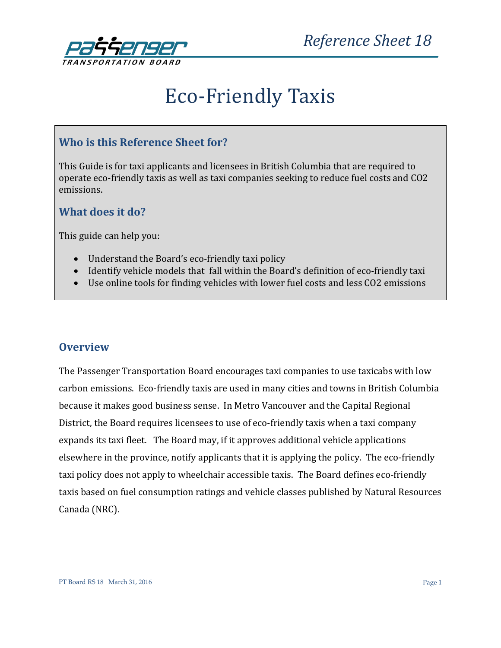

# Eco-Friendly Taxis

## **Who is this Reference Sheet for?**

This Guide is for taxi applicants and licensees in British Columbia that are required to operate eco-friendly taxis as well as taxi companies seeking to reduce fuel costs and CO2 emissions.

## **What does it do?**

This guide can help you:

- Understand the Board's eco-friendly taxi policy
- Identify vehicle models that fall within the Board's definition of eco-friendly taxi
- Use online tools for finding vehicles with lower fuel costs and less CO2 emissions

#### **Overview**

The Passenger Transportation Board encourages taxi companies to use taxicabs with low carbon emissions. Eco-friendly taxis are used in many cities and towns in British Columbia because it makes good business sense. In Metro Vancouver and the Capital Regional District, the Board requires licensees to use of eco-friendly taxis when a taxi company expands its taxi fleet. The Board may, if it approves additional vehicle applications elsewhere in the province, notify applicants that it is applying the policy. The eco-friendly taxi policy does not apply to wheelchair accessible taxis. The Board defines eco-friendly taxis based on fuel consumption ratings and vehicle classes published by Natural Resources Canada (NRC).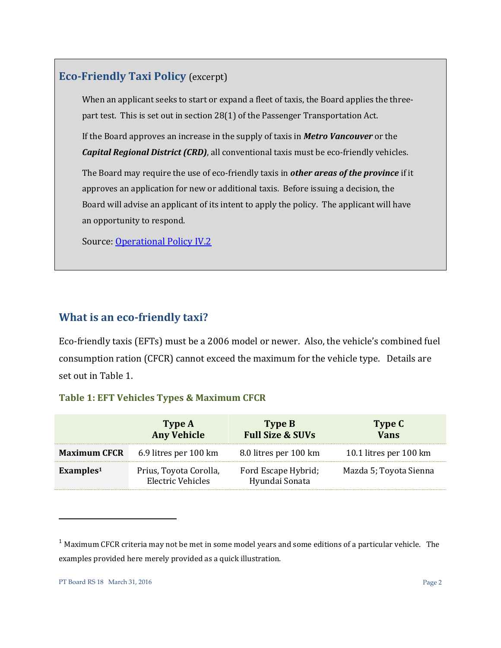## **Eco-Friendly Taxi Policy** (excerpt)

When an applicant seeks to start or expand a fleet of taxis, the Board applies the threepart test. This is set out in section 28(1) of the Passenger Transportation Act.

If the Board approves an increase in the supply of taxis in *Metro Vancouver* or the *Capital Regional District (CRD)*, all conventional taxis must be eco-friendly vehicles.

The Board may require the use of eco-friendly taxis in *other areas of the province* if it approves an application for new or additional taxis. Before issuing a decision, the Board will advise an applicant of its intent to apply the policy. The applicant will have an opportunity to respond.

Source: [Operational Policy IV.2](http://www.th.gov.bc.ca/ptb/operational_policies.htm#IV_2)

## **What is an eco-friendly taxi?**

Eco-friendly taxis (EFTs) must be a 2006 model or newer. Also, the vehicle's combined fuel consumption ration (CFCR) cannot exceed the maximum for the vehicle type. Details are set out in Table 1.

#### **Table 1: EFT Vehicles Types & Maximum CFCR**

|                       | Type A<br><b>Any Vehicle</b>                | Type B<br><b>Full Size &amp; SUVs</b> | Type C<br><b>Vans</b>  |
|-----------------------|---------------------------------------------|---------------------------------------|------------------------|
| <b>Maximum CFCR</b>   | 6.9 litres per 100 km                       | 8.0 litres per 100 km                 | 10.1 litres per 100 km |
| ExampleS <sup>1</sup> | Prius, Toyota Corolla,<br>Electric Vehicles | Ford Escape Hybrid;<br>Hyundai Sonata | Mazda 5; Toyota Sienna |

 $1$  Maximum CFCR criteria may not be met in some model years and some editions of a particular vehicle. The examples provided here merely provided as a quick illustration.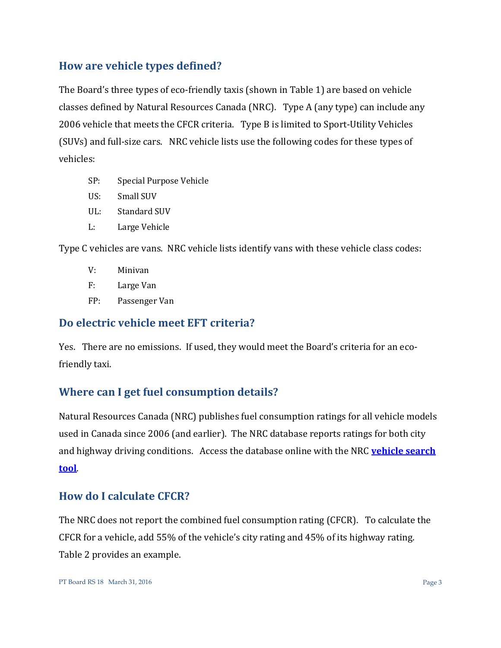# **How are vehicle types defined?**

The Board's three types of eco-friendly taxis (shown in Table 1) are based on vehicle classes defined by Natural Resources Canada (NRC). Type A (any type) can include any 2006 vehicle that meets the CFCR criteria. Type B is limited to Sport-Utility Vehicles (SUVs) and full-size cars. NRC vehicle lists use the following codes for these types of vehicles:

- SP: Special Purpose Vehicle
- US: Small SUV
- UL: Standard SUV
- L: Large Vehicle

Type C vehicles are vans. NRC vehicle lists identify vans with these vehicle class codes:

- V: Minivan
- F: Large Van
- FP: Passenger Van

### **Do electric vehicle meet EFT criteria?**

Yes. There are no emissions. If used, they would meet the Board's criteria for an ecofriendly taxi.

# **Where can I get fuel consumption details?**

Natural Resources Canada (NRC) publishes fuel consumption ratings for all vehicle models used in Canada since 2006 (and earlier). The NRC database reports ratings for both city and highway driving conditions. Access the database online with the NRC **[vehicle search](http://oee.nrcan.gc.ca/fcr-rcf/public/index-e.cfm)  [tool](http://oee.nrcan.gc.ca/fcr-rcf/public/index-e.cfm)**.

# **How do I calculate CFCR?**

The NRC does not report the combined fuel consumption rating (CFCR). To calculate the CFCR for a vehicle, add 55% of the vehicle's city rating and 45% of its highway rating. Table 2 provides an example.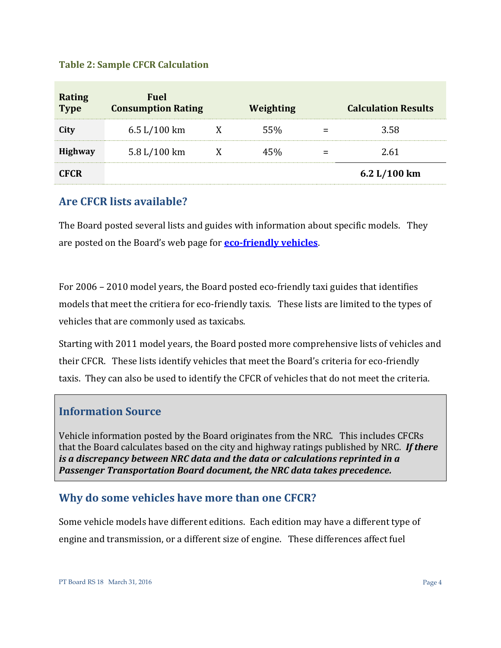#### **Table 2: Sample CFCR Calculation**

| <b>Rating</b><br>Type | Fuel<br><b>Consumption Rating</b> | Weighting | <b>Calculation Results</b> |
|-----------------------|-----------------------------------|-----------|----------------------------|
| City                  | 6.5 L/100 km                      | 55%       | 3.58                       |
| <b>Highway</b>        | 5.8 L/100 km                      | 45%       | 2.61                       |
| <b>CFCR</b>           |                                   |           | 6.2 $L/100$ km             |

### **Are CFCR lists available?**

The Board posted several lists and guides with information about specific models. They are posted on the Board's web page for **[eco-friendly vehicles](http://www.ptboard.bc.ca/eco_friendly.htm)**.

For 2006 – 2010 model years, the Board posted eco-friendly taxi guides that identifies models that meet the critiera for eco-friendly taxis. These lists are limited to the types of vehicles that are commonly used as taxicabs.

Starting with 2011 model years, the Board posted more comprehensive lists of vehicles and their CFCR. These lists identify vehicles that meet the Board's criteria for eco-friendly taxis. They can also be used to identify the CFCR of vehicles that do not meet the criteria.

#### **Information Source**

Vehicle information posted by the Board originates from the NRC. This includes CFCRs that the Board calculates based on the city and highway ratings published by NRC. *If there is a discrepancy between NRC data and the data or calculations reprinted in a Passenger Transportation Board document, the NRC data takes precedence.* 

## **Why do some vehicles have more than one CFCR?**

Some vehicle models have different editions. Each edition may have a different type of engine and transmission, or a different size of engine. These differences affect fuel